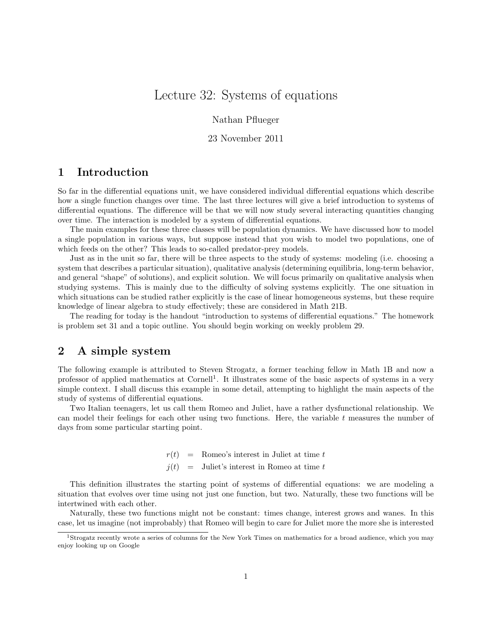# Lecture 32: Systems of equations

Nathan Pflueger

#### 23 November 2011

# 1 Introduction

So far in the differential equations unit, we have considered individual differential equations which describe how a single function changes over time. The last three lectures will give a brief introduction to systems of differential equations. The difference will be that we will now study several interacting quantities changing over time. The interaction is modeled by a system of differential equations.

The main examples for these three classes will be population dynamics. We have discussed how to model a single population in various ways, but suppose instead that you wish to model two populations, one of which feeds on the other? This leads to so-called predator-prey models.

Just as in the unit so far, there will be three aspects to the study of systems: modeling (i.e. choosing a system that describes a particular situation), qualitative analysis (determining equilibria, long-term behavior, and general "shape" of solutions), and explicit solution. We will focus primarily on qualitative analysis when studying systems. This is mainly due to the difficulty of solving systems explicitly. The one situation in which situations can be studied rather explicitly is the case of linear homogeneous systems, but these require knowledge of linear algebra to study effectively; these are considered in Math 21B.

The reading for today is the handout "introduction to systems of differential equations." The homework is problem set 31 and a topic outline. You should begin working on weekly problem 29.

## 2 A simple system

The following example is attributed to Steven Strogatz, a former teaching fellow in Math 1B and now a professor of applied mathematics at Cornell<sup>1</sup>. It illustrates some of the basic aspects of systems in a very simple context. I shall discuss this example in some detail, attempting to highlight the main aspects of the study of systems of differential equations.

Two Italian teenagers, let us call them Romeo and Juliet, have a rather dysfunctional relationship. We can model their feelings for each other using two functions. Here, the variable t measures the number of days from some particular starting point.

> $r(t)$  = Romeo's interest in Juliet at time t  $j(t)$  = Juliet's interest in Romeo at time t

This definition illustrates the starting point of systems of differential equations: we are modeling a situation that evolves over time using not just one function, but two. Naturally, these two functions will be intertwined with each other.

Naturally, these two functions might not be constant: times change, interest grows and wanes. In this case, let us imagine (not improbably) that Romeo will begin to care for Juliet more the more she is interested

<sup>1</sup>Strogatz recently wrote a series of columns for the New York Times on mathematics for a broad audience, which you may enjoy looking up on Google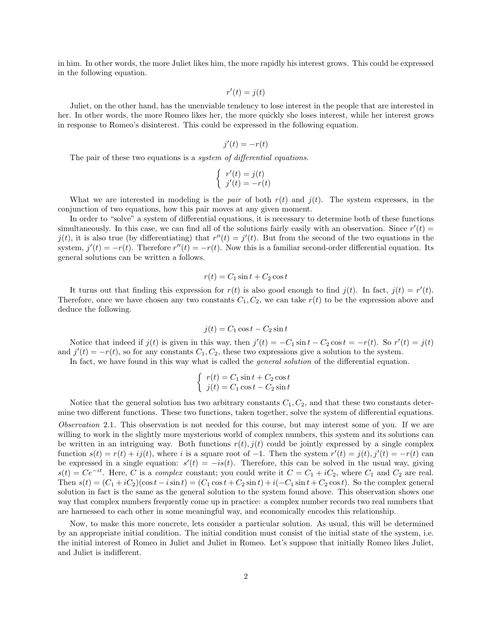in him. In other words, the more Juliet likes him, the more rapidly his interest grows. This could be expressed in the following equation.

$$
r'(t) = j(t)
$$

Juliet, on the other hand, has the unenviable tendency to lose interest in the people that are interested in her. In other words, the more Romeo likes her, the more quickly she loses interest, while her interest grows in response to Romeo's disinterest. This could be expressed in the following equation.

$$
j'(t) = -r(t)
$$

The pair of these two equations is a *system of differential equations*.

$$
\begin{cases}\nr'(t) = j(t) \\
j'(t) = -r(t)\n\end{cases}
$$

What we are interested in modeling is the pair of both  $r(t)$  and  $j(t)$ . The system expresses, in the conjunction of two equations, how this pair moves at any given moment.

In order to "solve" a system of differential equations, it is necessary to determine both of these functions simultaneously. In this case, we can find all of the solutions fairly easily with an observation. Since  $r'(t)$  $j(t)$ , it is also true (by differentiating) that  $r''(t) = j'(t)$ . But from the second of the two equations in the system,  $j'(t) = -r(t)$ . Therefore  $r''(t) = -r(t)$ . Now this is a familiar second-order differential equation. Its general solutions can be written a follows.

$$
r(t) = C_1 \sin t + C_2 \cos t
$$

It turns out that finding this expression for  $r(t)$  is also good enough to find  $j(t)$ . In fact,  $j(t) = r'(t)$ . Therefore, once we have chosen any two constants  $C_1, C_2$ , we can take  $r(t)$  to be the expression above and deduce the following.

$$
j(t) = C_1 \cos t - C_2 \sin t
$$

Notice that indeed if  $j(t)$  is given in this way, then  $j'(t) = -C_1 \sin t - C_2 \cos t = -r(t)$ . So  $r'(t) = j(t)$ and  $j'(t) = -r(t)$ , so for any constants  $C_1, C_2$ , these two expressions give a solution to the system.

In fact, we have found in this way what is called the *general solution* of the differential equation.

$$
\begin{cases}\nr(t) = C_1 \sin t + C_2 \cos t \\
j(t) = C_1 \cos t - C_2 \sin t\n\end{cases}
$$

Notice that the general solution has two arbitrary constants  $C_1, C_2$ , and that these two constants determine two different functions. These two functions, taken together, solve the system of differential equations. Observation 2.1. This observation is not needed for this course, but may interest some of you. If we are willing to work in the slightly more mysterious world of complex numbers, this system and its solutions can be written in an intriguing way. Both functions  $r(t)$ ,  $i(t)$  could be jointly expressed by a single complex function  $s(t) = r(t) + ij(t)$ , where i is a square root of -1. Then the system  $r'(t) = j(t)$ ,  $j'(t) = -r(t)$  can be expressed in a single equation:  $s'(t) = -is(t)$ . Therefore, this can be solved in the usual way, giving  $s(t) = Ce^{-it}$ . Here, C is a complex constant; you could write it  $C = C_1 + iC_2$ , where  $C_1$  and  $C_2$  are real. Then  $s(t) = (C_1 + iC_2)(\cos t - i\sin t) = (C_1 \cos t + C_2 \sin t) + i(-C_1 \sin t + C_2 \cos t)$ . So the complex general solution in fact is the same as the general solution to the system found above. This observation shows one way that complex numbers frequently come up in practice: a complex number records two real numbers that are harnessed to each other in some meaningful way, and economically encodes this relationship.

Now, to make this more concrete, lets consider a particular solution. As usual, this will be determined by an appropriate initial condition. The initial condition must consist of the initial state of the system, i.e. the initial interest of Romeo in Juliet and Juliet in Romeo. Let's suppose that initially Romeo likes Juliet, and Juliet is indifferent.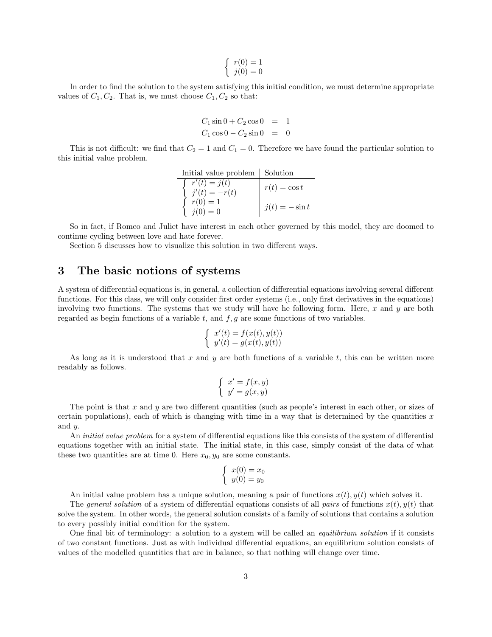$$
\begin{cases}\nr(0) = 1 \\
j(0) = 0\n\end{cases}
$$

In order to find the solution to the system satisfying this initial condition, we must determine appropriate values of  $C_1, C_2$ . That is, we must choose  $C_1, C_2$  so that:

$$
C_1 \sin 0 + C_2 \cos 0 = 1
$$
  

$$
C_1 \cos 0 - C_2 \sin 0 = 0
$$

This is not difficult: we find that  $C_2 = 1$  and  $C_1 = 0$ . Therefore we have found the particular solution to this initial value problem.

Initial value problem | Solution  
\n
$$
r'(t) = j(t)
$$
\n
$$
r(t) = \cos t
$$
\n
$$
r(0) = 1
$$
\n
$$
j(0) = 0
$$
\n
$$
r(t) = \cos t
$$
\n
$$
r(t) = \cos t
$$
\n
$$
j(t) = -\sin t
$$

So in fact, if Romeo and Juliet have interest in each other governed by this model, they are doomed to continue cycling between love and hate forever.

Section 5 discusses how to visualize this solution in two different ways.

### 3 The basic notions of systems

A system of differential equations is, in general, a collection of differential equations involving several different functions. For this class, we will only consider first order systems (i.e., only first derivatives in the equations) involving two functions. The systems that we study will have he following form. Here,  $x$  and  $y$  are both regarded as begin functions of a variable  $t$ , and  $f$ ,  $g$  are some functions of two variables.

$$
\begin{cases}\nx'(t) = f(x(t), y(t)) \\
y'(t) = g(x(t), y(t))\n\end{cases}
$$

As long as it is understood that  $x$  and  $y$  are both functions of a variable  $t$ , this can be written more readably as follows.

$$
\begin{cases}\nx' = f(x, y) \\
y' = g(x, y)\n\end{cases}
$$

The point is that  $x$  and  $y$  are two different quantities (such as people's interest in each other, or sizes of certain populations), each of which is changing with time in a way that is determined by the quantities  $x$ and y.

An *initial value problem* for a system of differential equations like this consists of the system of differential equations together with an initial state. The initial state, in this case, simply consist of the data of what these two quantities are at time 0. Here  $x_0, y_0$  are some constants.

$$
\begin{cases}\nx(0) = x_0 \\
y(0) = y_0\n\end{cases}
$$

An initial value problem has a unique solution, meaning a pair of functions  $x(t)$ ,  $y(t)$  which solves it.

The general solution of a system of differential equations consists of all pairs of functions  $x(t)$ ,  $y(t)$  that solve the system. In other words, the general solution consists of a family of solutions that contains a solution to every possibly initial condition for the system.

One final bit of terminology: a solution to a system will be called an equilibrium solution if it consists of two constant functions. Just as with individual differential equations, an equilibrium solution consists of values of the modelled quantities that are in balance, so that nothing will change over time.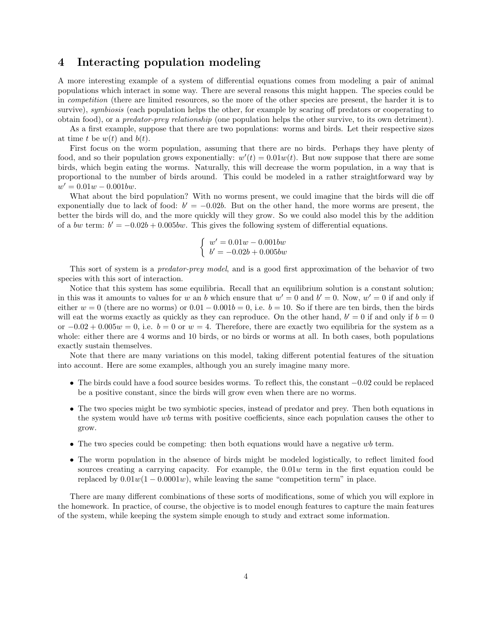### 4 Interacting population modeling

A more interesting example of a system of differential equations comes from modeling a pair of animal populations which interact in some way. There are several reasons this might happen. The species could be in competition (there are limited resources, so the more of the other species are present, the harder it is to survive), *symbiosis* (each population helps the other, for example by scaring off predators or cooperating to obtain food), or a predator-prey relationship (one population helps the other survive, to its own detriment).

As a first example, suppose that there are two populations: worms and birds. Let their respective sizes at time t be  $w(t)$  and  $b(t)$ .

First focus on the worm population, assuming that there are no birds. Perhaps they have plenty of food, and so their population grows exponentially:  $w'(t) = 0.01w(t)$ . But now suppose that there are some birds, which begin eating the worms. Naturally, this will decrease the worm population, in a way that is proportional to the number of birds around. This could be modeled in a rather straightforward way by  $w' = 0.01w - 0.001bw.$ 

What about the bird population? With no worms present, we could imagine that the birds will die off exponentially due to lack of food:  $b' = -0.02b$ . But on the other hand, the more worms are present, the better the birds will do, and the more quickly will they grow. So we could also model this by the addition of a bw term:  $b' = -0.02b + 0.005bw$ . This gives the following system of differential equations.

$$
\begin{cases}\nw' = 0.01w - 0.001bw \\
b' = -0.02b + 0.005bw\n\end{cases}
$$

This sort of system is a *predator-prey model*, and is a good first approximation of the behavior of two species with this sort of interaction.

Notice that this system has some equilibria. Recall that an equilibrium solution is a constant solution; in this was it amounts to values for w an b which ensure that  $w' = 0$  and  $b' = 0$ . Now,  $w' = 0$  if and only if either  $w = 0$  (there are no worms) or  $0.01 - 0.001b = 0$ , i.e.  $b = 10$ . So if there are ten birds, then the birds will eat the worms exactly as quickly as they can reproduce. On the other hand,  $b' = 0$  if and only if  $b = 0$ or  $-0.02 + 0.005w = 0$ , i.e.  $b = 0$  or  $w = 4$ . Therefore, there are exactly two equilibria for the system as a whole: either there are 4 worms and 10 birds, or no birds or worms at all. In both cases, both populations exactly sustain themselves.

Note that there are many variations on this model, taking different potential features of the situation into account. Here are some examples, although you an surely imagine many more.

- The birds could have a food source besides worms. To reflect this, the constant −0.02 could be replaced be a positive constant, since the birds will grow even when there are no worms.
- The two species might be two symbiotic species, instead of predator and prey. Then both equations in the system would have wb terms with positive coefficients, since each population causes the other to grow.
- The two species could be competing: then both equations would have a negative  $wb$  term.
- The worm population in the absence of birds might be modeled logistically, to reflect limited food sources creating a carrying capacity. For example, the 0.01w term in the first equation could be replaced by  $0.01w(1 - 0.0001w)$ , while leaving the same "competition term" in place.

There are many different combinations of these sorts of modifications, some of which you will explore in the homework. In practice, of course, the objective is to model enough features to capture the main features of the system, while keeping the system simple enough to study and extract some information.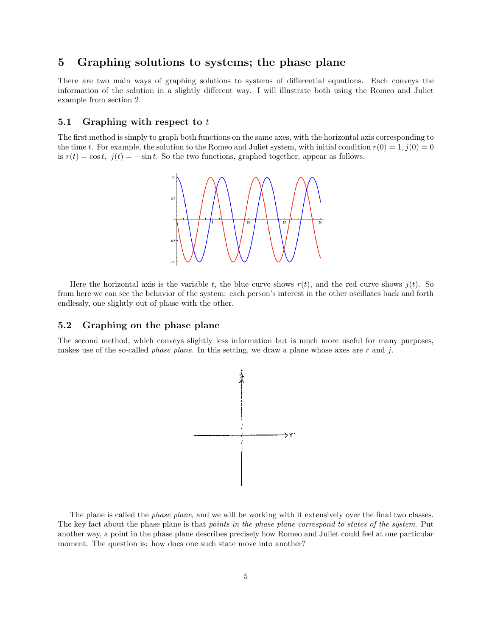# 5 Graphing solutions to systems; the phase plane

There are two main ways of graphing solutions to systems of differential equations. Each conveys the information of the solution in a slightly different way. I will illustrate both using the Romeo and Juliet example from section 2.

#### 5.1 Graphing with respect to  $t$

The first method is simply to graph both functions on the same axes, with the horizontal axis corresponding to the time t. For example, the solution to the Romeo and Juliet system, with initial condition  $r(0) = 1, j(0) = 0$ is  $r(t) = \cos t$ ,  $j(t) = -\sin t$ . So the two functions, graphed together, appear as follows.



Here the horizontal axis is the variable t, the blue curve shows  $r(t)$ , and the red curve shows  $i(t)$ . So from here we can see the behavior of the system: each person's interest in the other oscillates back and forth endlessly, one slightly out of phase with the other.

#### 5.2 Graphing on the phase plane

The second method, which conveys slightly less information but is much more useful for many purposes, makes use of the so-called *phase plane*. In this setting, we draw a plane whose axes are r and j.



The plane is called the *phase plane*, and we will be working with it extensively over the final two classes. The key fact about the phase plane is that *points in the phase plane correspond to states of the system*. Put another way, a point in the phase plane describes precisely how Romeo and Juliet could feel at one particular moment. The question is: how does one such state move into another?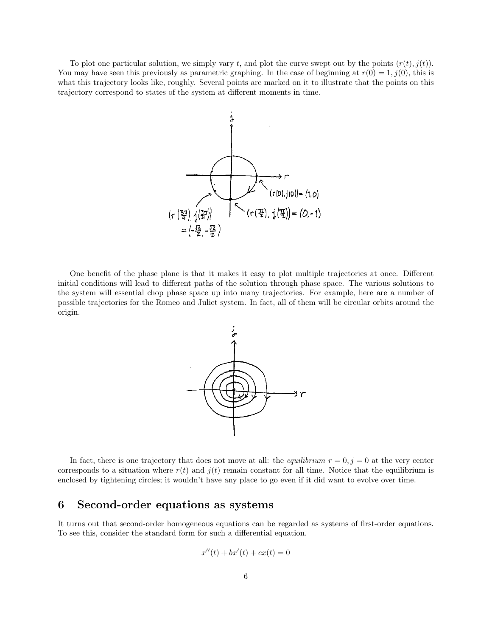To plot one particular solution, we simply vary t, and plot the curve swept out by the points  $(r(t), i(t))$ . You may have seen this previously as parametric graphing. In the case of beginning at  $r(0) = 1$ ,  $j(0)$ , this is what this trajectory looks like, roughly. Several points are marked on it to illustrate that the points on this trajectory correspond to states of the system at different moments in time.



One benefit of the phase plane is that it makes it easy to plot multiple trajectories at once. Different initial conditions will lead to different paths of the solution through phase space. The various solutions to the system will essential chop phase space up into many trajectories. For example, here are a number of possible trajectories for the Romeo and Juliet system. In fact, all of them will be circular orbits around the origin.



In fact, there is one trajectory that does not move at all: the *equilibrium*  $r = 0, j = 0$  at the very center corresponds to a situation where  $r(t)$  and  $j(t)$  remain constant for all time. Notice that the equilibrium is enclosed by tightening circles; it wouldn't have any place to go even if it did want to evolve over time.

### 6 Second-order equations as systems

It turns out that second-order homogeneous equations can be regarded as systems of first-order equations. To see this, consider the standard form for such a differential equation.

$$
x''(t) + bx'(t) + cx(t) = 0
$$